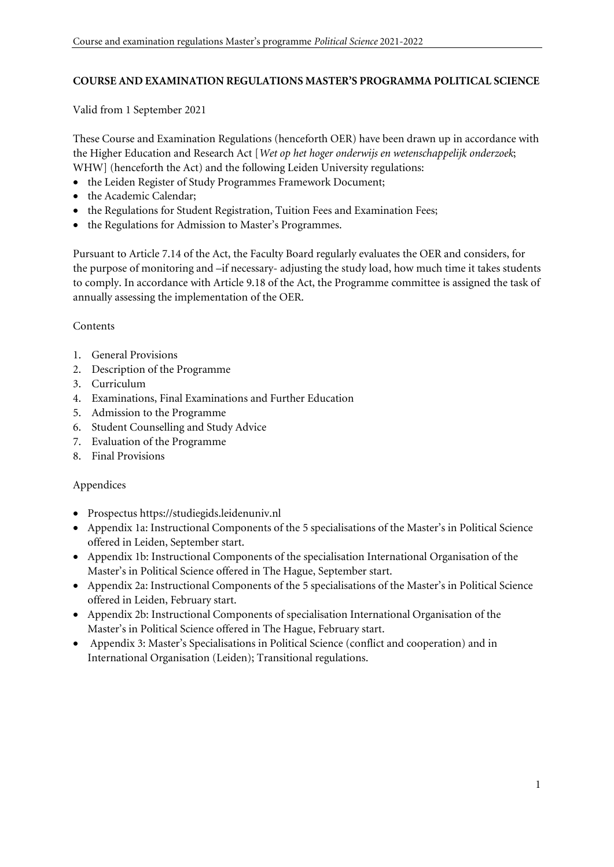### **COURSE AND EXAMINATION REGULATIONS MASTER'S PROGRAMMA POLITICAL SCIENCE**

Valid from 1 September 2021

These Course and Examination Regulations (henceforth OER) have been drawn up in accordance with the Higher Education and Research Act [*Wet op het hoger onderwijs en wetenschappelijk onderzoek*; WHW] (henceforth the Act) and the following Leiden University regulations:

- the Leiden Register of Study Programmes Framework Document;
- the Academic Calendar;
- the Regulations for Student Registration, Tuition Fees and Examination Fees;
- the Regulations for Admission to Master's Programmes.

Pursuant to Article 7.14 of the Act, the Faculty Board regularly evaluates the OER and considers, for the purpose of monitoring and –if necessary- adjusting the study load, how much time it takes students to comply. In accordance with Article 9.18 of the Act, the Programme committee is assigned the task of annually assessing the implementation of the OER.

#### **Contents**

- 1. General Provisions
- 2. Description of the Programme
- 3. Curriculum
- 4. Examinations, Final Examinations and Further Education
- 5. Admission to the Programme
- 6. Student Counselling and Study Advice
- 7. Evaluation of the Programme
- 8. Final Provisions

#### Appendices

- Prospectus https://studiegids.leidenuniv.nl
- Appendix 1a: Instructional Components of the 5 specialisations of the Master's in Political Science offered in Leiden, September start.
- Appendix 1b: Instructional Components of the specialisation International Organisation of the Master's in Political Science offered in The Hague, September start.
- Appendix 2a: Instructional Components of the 5 specialisations of the Master's in Political Science offered in Leiden, February start.
- Appendix 2b: Instructional Components of specialisation International Organisation of the Master's in Political Science offered in The Hague, February start.
- Appendix 3: Master's Specialisations in Political Science (conflict and cooperation) and in International Organisation (Leiden); Transitional regulations.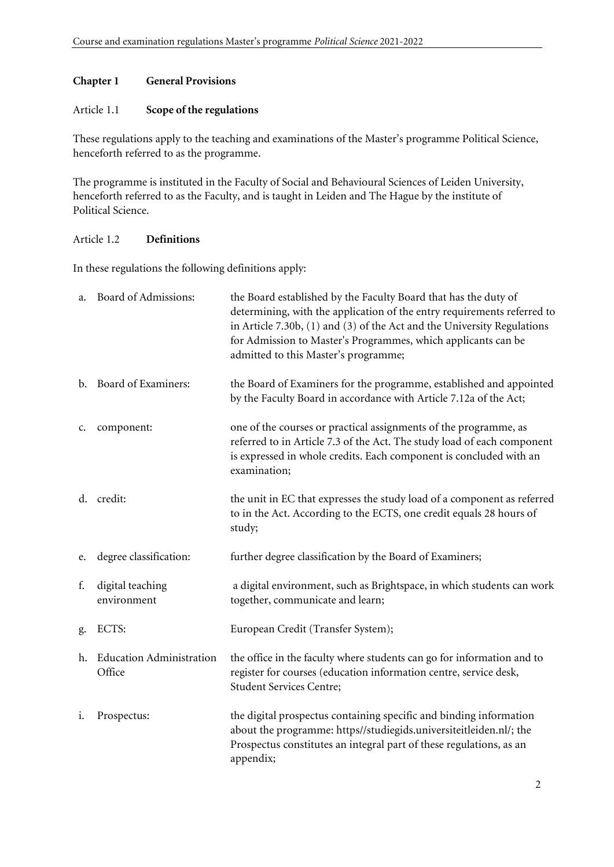### **Chapter 1 General Provisions**

#### Article 1.1 **Scope of the regulations**

These regulations apply to the teaching and examinations of the Master's programme Political Science, henceforth referred to as the programme.

The programme is instituted in the Faculty of Social and Behavioural Sciences of Leiden University, henceforth referred to as the Faculty, and is taught in Leiden and The Hague by the institute of Political Science.

### Article 1.2 **Definitions**

In these regulations the following definitions apply:

| a. | Board of Admissions:                      | the Board established by the Faculty Board that has the duty of<br>determining, with the application of the entry requirements referred to<br>in Article 7.30b, $(1)$ and $(3)$ of the Act and the University Regulations<br>for Admission to Master's Programmes, which applicants can be<br>admitted to this Master's programme; |
|----|-------------------------------------------|------------------------------------------------------------------------------------------------------------------------------------------------------------------------------------------------------------------------------------------------------------------------------------------------------------------------------------|
|    | b. Board of Examiners:                    | the Board of Examiners for the programme, established and appointed<br>by the Faculty Board in accordance with Article 7.12a of the Act;                                                                                                                                                                                           |
| c. | component:                                | one of the courses or practical assignments of the programme, as<br>referred to in Article 7.3 of the Act. The study load of each component<br>is expressed in whole credits. Each component is concluded with an<br>examination;                                                                                                  |
|    | d. credit:                                | the unit in EC that expresses the study load of a component as referred<br>to in the Act. According to the ECTS, one credit equals 28 hours of<br>study;                                                                                                                                                                           |
| e. | degree classification:                    | further degree classification by the Board of Examiners;                                                                                                                                                                                                                                                                           |
| f. | digital teaching<br>environment           | a digital environment, such as Brightspace, in which students can work<br>together, communicate and learn;                                                                                                                                                                                                                         |
| g. | ECTS:                                     | European Credit (Transfer System);                                                                                                                                                                                                                                                                                                 |
| h. | <b>Education Administration</b><br>Office | the office in the faculty where students can go for information and to<br>register for courses (education information centre, service desk,<br>Student Services Centre;                                                                                                                                                            |
| i. | Prospectus:                               | the digital prospectus containing specific and binding information<br>about the programme: https//studiegids.universiteitleiden.nl/; the<br>Prospectus constitutes an integral part of these regulations, as an<br>appendix;                                                                                                       |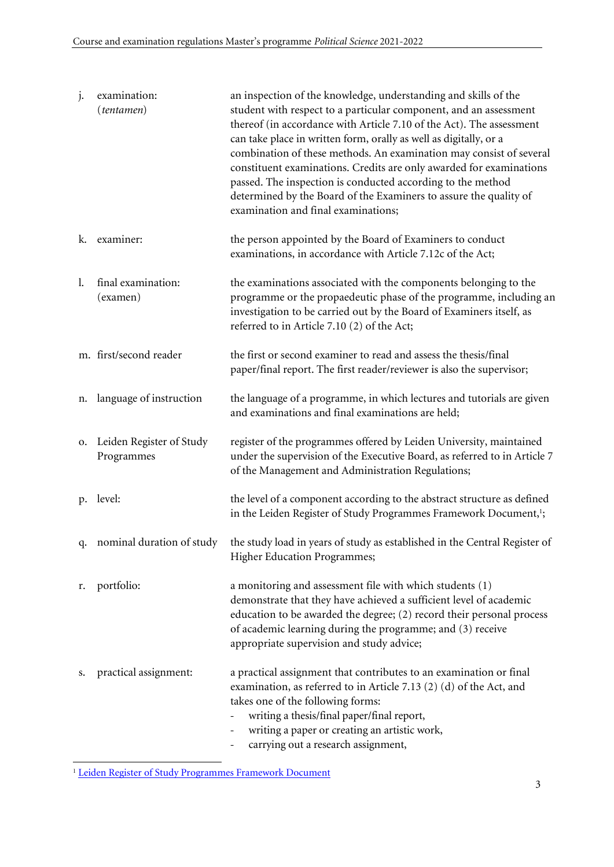| j.          | examination:<br>(tentamen)             | an inspection of the knowledge, understanding and skills of the<br>student with respect to a particular component, and an assessment<br>thereof (in accordance with Article 7.10 of the Act). The assessment<br>can take place in written form, orally as well as digitally, or a<br>combination of these methods. An examination may consist of several<br>constituent examinations. Credits are only awarded for examinations<br>passed. The inspection is conducted according to the method<br>determined by the Board of the Examiners to assure the quality of<br>examination and final examinations; |
|-------------|----------------------------------------|------------------------------------------------------------------------------------------------------------------------------------------------------------------------------------------------------------------------------------------------------------------------------------------------------------------------------------------------------------------------------------------------------------------------------------------------------------------------------------------------------------------------------------------------------------------------------------------------------------|
| k.          | examiner:                              | the person appointed by the Board of Examiners to conduct<br>examinations, in accordance with Article 7.12c of the Act;                                                                                                                                                                                                                                                                                                                                                                                                                                                                                    |
| 1.          | final examination:<br>(examen)         | the examinations associated with the components belonging to the<br>programme or the propaedeutic phase of the programme, including an<br>investigation to be carried out by the Board of Examiners itself, as<br>referred to in Article 7.10 (2) of the Act;                                                                                                                                                                                                                                                                                                                                              |
|             | m. first/second reader                 | the first or second examiner to read and assess the thesis/final<br>paper/final report. The first reader/reviewer is also the supervisor;                                                                                                                                                                                                                                                                                                                                                                                                                                                                  |
| n.          | language of instruction                | the language of a programme, in which lectures and tutorials are given<br>and examinations and final examinations are held;                                                                                                                                                                                                                                                                                                                                                                                                                                                                                |
| 0.          | Leiden Register of Study<br>Programmes | register of the programmes offered by Leiden University, maintained<br>under the supervision of the Executive Board, as referred to in Article 7<br>of the Management and Administration Regulations;                                                                                                                                                                                                                                                                                                                                                                                                      |
| $p_{\cdot}$ | level:                                 | the level of a component according to the abstract structure as defined<br>in the Leiden Register of Study Programmes Framework Document, <sup>1</sup> ;                                                                                                                                                                                                                                                                                                                                                                                                                                                   |
| q.          | nominal duration of study              | the study load in years of study as established in the Central Register of<br><b>Higher Education Programmes;</b>                                                                                                                                                                                                                                                                                                                                                                                                                                                                                          |
| r.          | portfolio:                             | a monitoring and assessment file with which students (1)<br>demonstrate that they have achieved a sufficient level of academic<br>education to be awarded the degree; (2) record their personal process<br>of academic learning during the programme; and (3) receive<br>appropriate supervision and study advice;                                                                                                                                                                                                                                                                                         |
| s.          | practical assignment:                  | a practical assignment that contributes to an examination or final<br>examination, as referred to in Article 7.13 (2) (d) of the Act, and<br>takes one of the following forms:<br>writing a thesis/final paper/final report,<br>writing a paper or creating an artistic work,<br>carrying out a research assignment,                                                                                                                                                                                                                                                                                       |

<sup>&</sup>lt;sup>1</sup> Leiden Register of Study Programmes Framework Document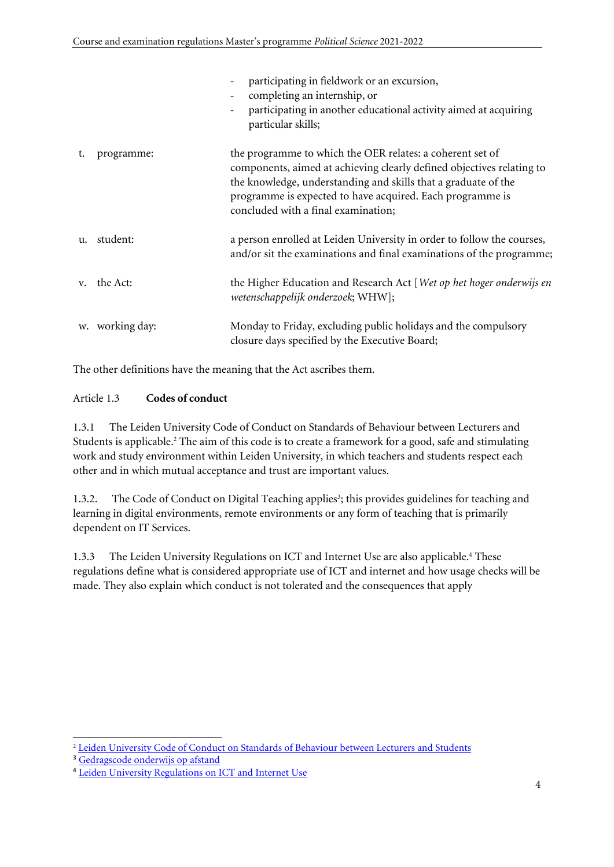|                |                 | participating in fieldwork or an excursion,<br>completing an internship, or<br>participating in another educational activity aimed at acquiring<br>particular skills;                                                                                                                                    |
|----------------|-----------------|----------------------------------------------------------------------------------------------------------------------------------------------------------------------------------------------------------------------------------------------------------------------------------------------------------|
| t.             | programme:      | the programme to which the OER relates: a coherent set of<br>components, aimed at achieving clearly defined objectives relating to<br>the knowledge, understanding and skills that a graduate of the<br>programme is expected to have acquired. Each programme is<br>concluded with a final examination; |
| $\mathbf{u}$ . | student:        | a person enrolled at Leiden University in order to follow the courses,<br>and/or sit the examinations and final examinations of the programme;                                                                                                                                                           |
| $V_{\star}$    | the Act:        | the Higher Education and Research Act [Wet op het hoger onderwijs en<br>wetenschappelijk onderzoek; WHW];                                                                                                                                                                                                |
|                | w. working day: | Monday to Friday, excluding public holidays and the compulsory<br>closure days specified by the Executive Board;                                                                                                                                                                                         |

The other definitions have the meaning that the Act ascribes them.

# Article 1.3 **Codes of conduct**

1.3.1 The Leiden University Code of Conduct on Standards of Behaviour between Lecturers and Students is applicable. <sup>2</sup> The aim of this code is to create a framework for a good, safe and stimulating work and study environment within Leiden University, in which teachers and students respect each other and in which mutual acceptance and trust are important values.

1.3.2. The Code of Conduct on Digital Teaching applies<sup>3</sup>; this provides guidelines for teaching and learning in digital environments, remote environments or any form of teaching that is primarily dependent on IT Services.

1.3.3 The Leiden University Regulations on ICT and Internet Use are also applicable.<sup>4</sup> These regulations define what is considered appropriate use of ICT and internet and how usage checks will be made. They also explain which conduct is not tolerated and the consequences that apply

<sup>&</sup>lt;sup>2</sup> Leiden [University](https://www.organisatiegids.universiteitleiden.nl/en/regulations/general/code-of-conduct-on-standards-of-behaviour) Code of Conduct on Standards of Behaviour between Lecturers and Students

<sup>3</sup> [Gedragscode onderwijs op afstand](https://www.organisatiegids.universiteitleiden.nl/reglementen/algemeen/gedragscode-remote-teaching)

<sup>4</sup> Leiden University [Regulations](https://www.organisatiegids.universiteitleiden.nl/en/regulations/general/regulations-on-ict-and-internet-use) on ICT and Internet Use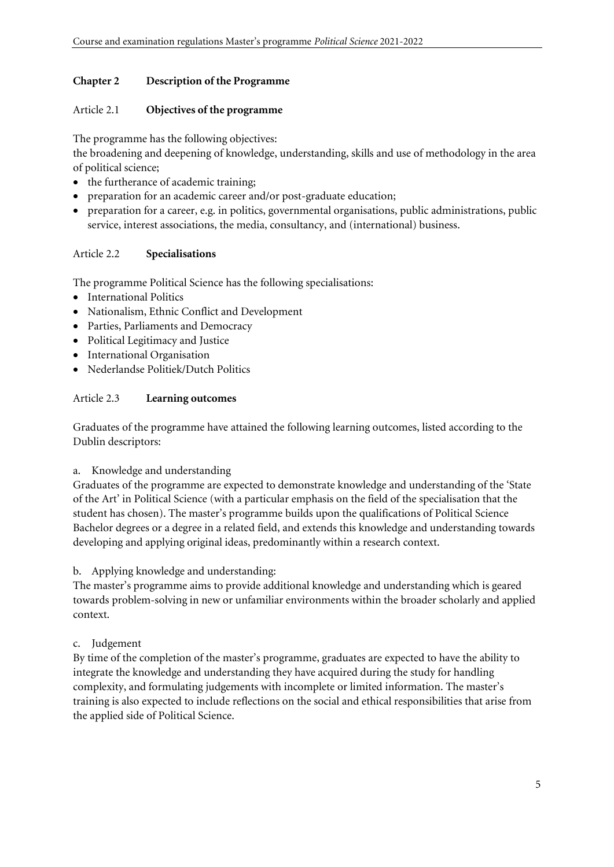#### **Chapter 2 Description of the Programme**

#### Article 2.1 **Objectives of the programme**

The programme has the following objectives:

the broadening and deepening of knowledge, understanding, skills and use of methodology in the area of political science;

- the furtherance of academic training;
- preparation for an academic career and/or post-graduate education;
- preparation for a career, e.g. in politics, governmental organisations, public administrations, public service, interest associations, the media, consultancy, and (international) business.

### Article 2.2 **Specialisations**

The programme Political Science has the following specialisations:

- International Politics
- Nationalism, Ethnic Conflict and Development
- Parties, Parliaments and Democracy
- Political Legitimacy and Justice
- International Organisation
- Nederlandse Politiek/Dutch Politics

#### Article 2.3 **Learning outcomes**

Graduates of the programme have attained the following learning outcomes, listed according to the Dublin descriptors:

a. Knowledge and understanding

Graduates of the programme are expected to demonstrate knowledge and understanding of the 'State of the Art' in Political Science (with a particular emphasis on the field of the specialisation that the student has chosen). The master's programme builds upon the qualifications of Political Science Bachelor degrees or a degree in a related field, and extends this knowledge and understanding towards developing and applying original ideas, predominantly within a research context.

#### b. Applying knowledge and understanding:

The master's programme aims to provide additional knowledge and understanding which is geared towards problem-solving in new or unfamiliar environments within the broader scholarly and applied context.

#### c. Judgement

By time of the completion of the master's programme, graduates are expected to have the ability to integrate the knowledge and understanding they have acquired during the study for handling complexity, and formulating judgements with incomplete or limited information. The master's training is also expected to include reflections on the social and ethical responsibilities that arise from the applied side of Political Science.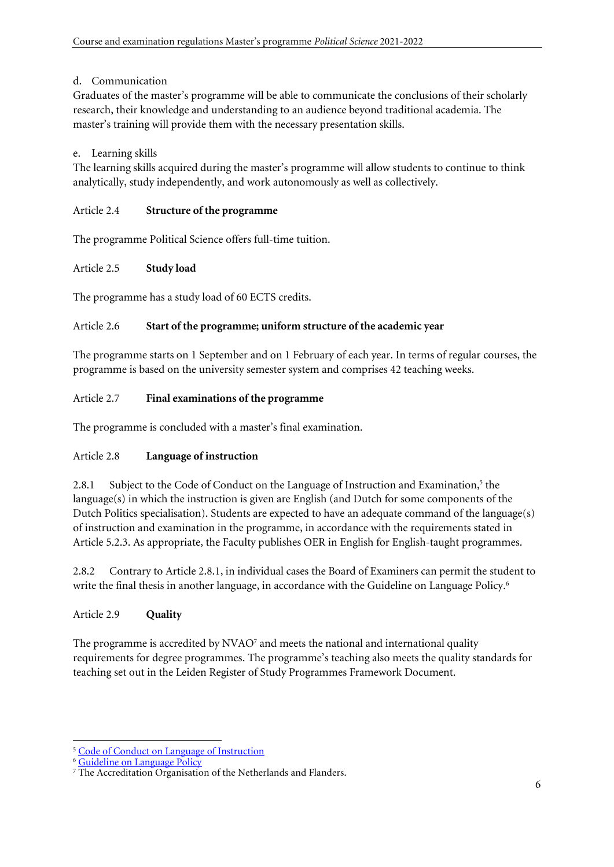# d. Communication

Graduates of the master's programme will be able to communicate the conclusions of their scholarly research, their knowledge and understanding to an audience beyond traditional academia. The master's training will provide them with the necessary presentation skills.

# e. Learning skills

The learning skills acquired during the master's programme will allow students to continue to think analytically, study independently, and work autonomously as well as collectively.

# Article 2.4 **Structure of the programme**

The programme Political Science offers full-time tuition.

# Article 2.5 **Study load**

The programme has a study load of 60 ECTS credits.

# Article 2.6 **Start of the programme; uniform structure of the academic year**

The programme starts on 1 September and on 1 February of each year. In terms of regular courses, the programme is based on the university semester system and comprises 42 teaching weeks.

# Article 2.7 **Final examinations of the programme**

The programme is concluded with a master's final examination.

# Article 2.8 **Language of instruction**

2.8.1 Subject to the Code of Conduct on the Language of Instruction and Examination,<sup>5</sup> the language(s) in which the instruction is given are English (and Dutch for some components of the Dutch Politics specialisation). Students are expected to have an adequate command of the language(s) of instruction and examination in the programme, in accordance with the requirements stated in Article 5.2.3. As appropriate, the Faculty publishes OER in English for English-taught programmes.

2.8.2 Contrary to Article 2.8.1, in individual cases the Board of Examiners can permit the student to write the final thesis in another language, in accordance with the Guideline on Language Policy.<sup>6</sup>

# Article 2.9 **Quality**

The programme is accredited by  $NVAO<sup>7</sup>$  and meets the national and international quality requirements for degree programmes. The programme's teaching also meets the quality standards for teaching set out in the Leiden Register of Study Programmes Framework Document.

<sup>5</sup> [Code of Conduct on Language of Instruction](https://www.organisatiegids.universiteitleiden.nl/en/regulations/general/language-of-instruction)

<sup>6</sup> [Guideline on Language Policy](https://www.organisatiegids.universiteitleiden.nl/binaries/content/assets/ul2staff/reglementen/guideline-on-language-policy-2020.pdf)

<sup>&</sup>lt;sup>7</sup> The Accreditation Organisation of the Netherlands and Flanders.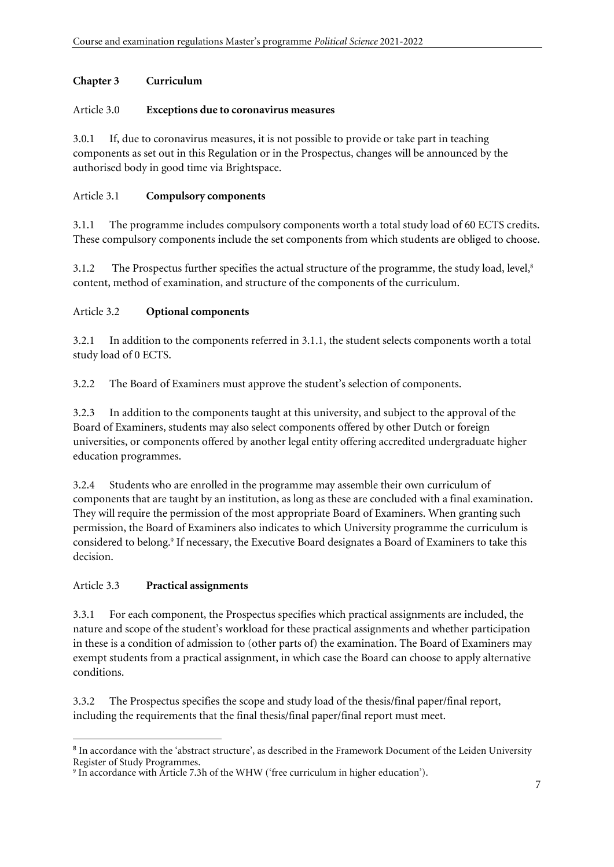## **Chapter 3 Curriculum**

#### Article 3.0 **Exceptions due to coronavirus measures**

3.0.1 If, due to coronavirus measures, it is not possible to provide or take part in teaching components as set out in this Regulation or in the Prospectus, changes will be announced by the authorised body in good time via Brightspace.

#### Article 3.1 **Compulsory components**

3.1.1 The programme includes compulsory components worth a total study load of 60 ECTS credits. These compulsory components include the set components from which students are obliged to choose.

3.1.2 The Prospectus further specifies the actual structure of the programme, the study load, level, 8 content, method of examination, and structure of the components of the curriculum.

### Article 3.2 **Optional components**

3.2.1 In addition to the components referred in 3.1.1, the student selects components worth a total study load of 0 ECTS.

3.2.2 The Board of Examiners must approve the student's selection of components.

3.2.3 In addition to the components taught at this university, and subject to the approval of the Board of Examiners, students may also select components offered by other Dutch or foreign universities, or components offered by another legal entity offering accredited undergraduate higher education programmes.

3.2.4 Students who are enrolled in the programme may assemble their own curriculum of components that are taught by an institution, as long as these are concluded with a final examination. They will require the permission of the most appropriate Board of Examiners. When granting such permission, the Board of Examiners also indicates to which University programme the curriculum is considered to belong.<sup>9</sup> If necessary, the Executive Board designates a Board of Examiners to take this decision.

# Article 3.3 **Practical assignments**

3.3.1 For each component, the Prospectus specifies which practical assignments are included, the nature and scope of the student's workload for these practical assignments and whether participation in these is a condition of admission to (other parts of) the examination. The Board of Examiners may exempt students from a practical assignment, in which case the Board can choose to apply alternative conditions.

3.3.2 The Prospectus specifies the scope and study load of the thesis/final paper/final report, including the requirements that the final thesis/final paper/final report must meet.

<sup>&</sup>lt;sup>8</sup> In accordance with the 'abstract structure', as described in the Framework Document of the Leiden University Register of Study Programmes.

<sup>9</sup> In accordance with Article 7.3h of the WHW ('free curriculum in higher education').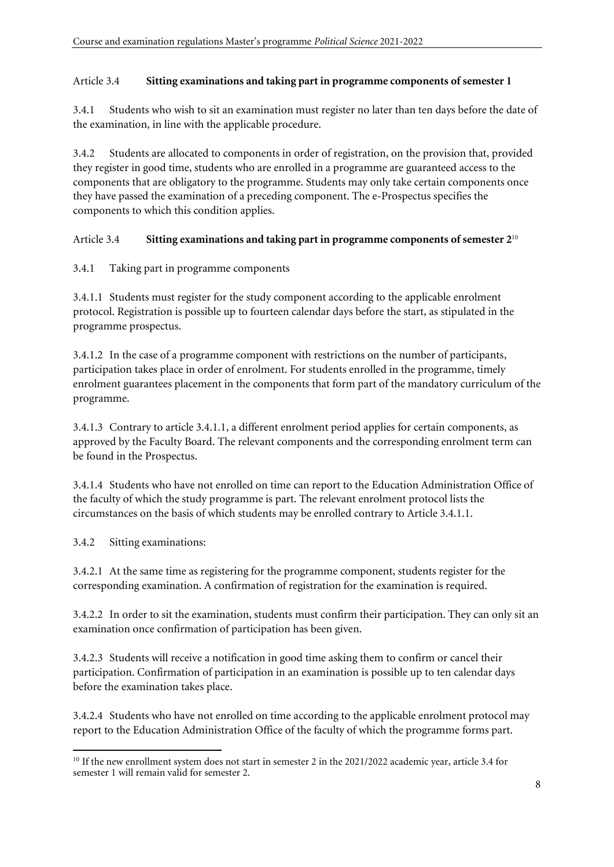#### Article 3.4 **Sitting examinations and taking part in programme components ofsemester 1**

3.4.1 Students who wish to sit an examination must register no later than ten days before the date of the examination, in line with the applicable procedure.

3.4.2 Students are allocated to components in order of registration, on the provision that, provided they register in good time, students who are enrolled in a programme are guaranteed access to the components that are obligatory to the programme. Students may only take certain components once they have passed the examination of a preceding component. The e-Prospectus specifies the components to which this condition applies.

### Article 3.4 **Sitting examinations and taking part in programme components ofsemester 2** 10

### 3.4.1 Taking part in programme components

3.4.1.1 Students must register for the study component according to the applicable enrolment protocol. Registration is possible up to fourteen calendar days before the start, as stipulated in the programme prospectus.

3.4.1.2 In the case of a programme component with restrictions on the number of participants, participation takes place in order of enrolment. For students enrolled in the programme, timely enrolment guarantees placement in the components that form part of the mandatory curriculum of the programme.

3.4.1.3 Contrary to article 3.4.1.1, a different enrolment period applies for certain components, as approved by the Faculty Board. The relevant components and the corresponding enrolment term can be found in the Prospectus.

3.4.1.4 Students who have not enrolled on time can report to the Education Administration Office of the faculty of which the study programme is part. The relevant enrolment protocol lists the circumstances on the basis of which students may be enrolled contrary to Article 3.4.1.1.

3.4.2 Sitting examinations:

3.4.2.1 At the same time as registering for the programme component, students register for the corresponding examination. A confirmation of registration for the examination is required.

3.4.2.2 In order to sit the examination, students must confirm their participation. They can only sit an examination once confirmation of participation has been given.

3.4.2.3 Students will receive a notification in good time asking them to confirm or cancel their participation. Confirmation of participation in an examination is possible up to ten calendar days before the examination takes place.

3.4.2.4 Students who have not enrolled on time according to the applicable enrolment protocol may report to the Education Administration Office of the faculty of which the programme forms part.

<sup>&</sup>lt;sup>10</sup> If the new enrollment system does not start in semester 2 in the 2021/2022 academic year, article 3.4 for semester 1 will remain valid for semester 2.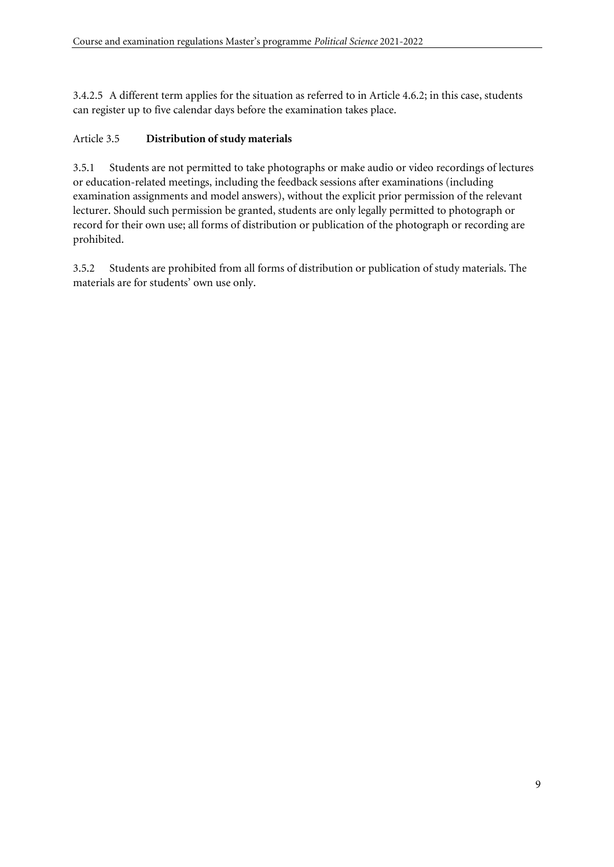3.4.2.5 A different term applies for the situation as referred to in Article 4.6.2; in this case, students can register up to five calendar days before the examination takes place.

### Article 3.5 **Distribution of study materials**

3.5.1 Students are not permitted to take photographs or make audio or video recordings of lectures or education-related meetings, including the feedback sessions after examinations (including examination assignments and model answers), without the explicit prior permission of the relevant lecturer. Should such permission be granted, students are only legally permitted to photograph or record for their own use; all forms of distribution or publication of the photograph or recording are prohibited.

3.5.2 Students are prohibited from all forms of distribution or publication of study materials. The materials are for students' own use only.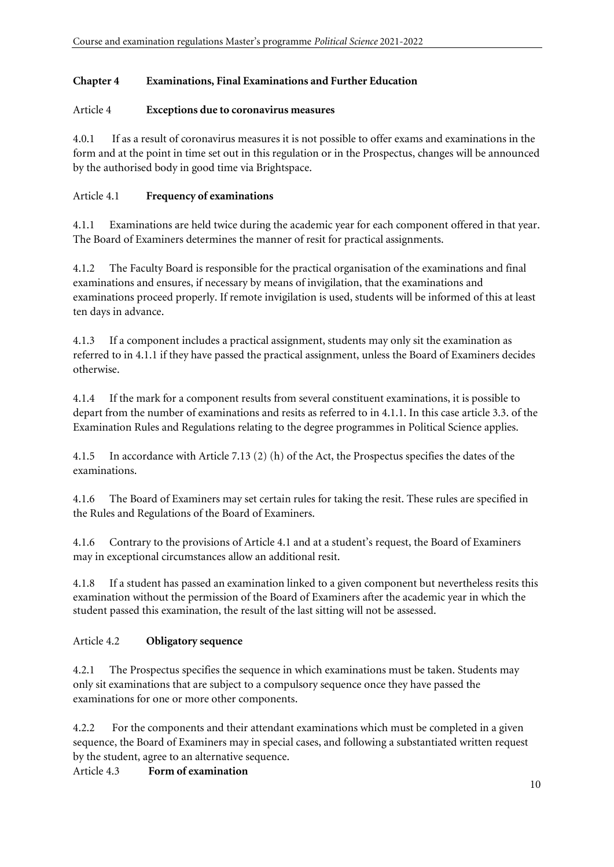### **Chapter 4 Examinations, Final Examinations and Further Education**

#### Article 4 **Exceptions due to coronavirus measures**

4.0.1 If as a result of coronavirus measures it is not possible to offer exams and examinations in the form and at the point in time set out in this regulation or in the Prospectus, changes will be announced by the authorised body in good time via Brightspace.

#### Article 4.1 **Frequency of examinations**

4.1.1 Examinations are held twice during the academic year for each component offered in that year. The Board of Examiners determines the manner of resit for practical assignments.

4.1.2 The Faculty Board is responsible for the practical organisation of the examinations and final examinations and ensures, if necessary by means of invigilation, that the examinations and examinations proceed properly. If remote invigilation is used, students will be informed of this at least ten days in advance.

4.1.3 If a component includes a practical assignment, students may only sit the examination as referred to in 4.1.1 if they have passed the practical assignment, unless the Board of Examiners decides otherwise.

4.1.4 If the mark for a component results from several constituent examinations, it is possible to depart from the number of examinations and resits as referred to in 4.1.1. In this case article 3.3. of the Examination Rules and Regulations relating to the degree programmes in Political Science applies.

4.1.5 In accordance with Article 7.13 (2) (h) of the Act, the Prospectus specifies the dates of the examinations.

4.1.6 The Board of Examiners may set certain rules for taking the resit. These rules are specified in the Rules and Regulations of the Board of Examiners.

4.1.6 Contrary to the provisions of Article 4.1 and at a student's request, the Board of Examiners may in exceptional circumstances allow an additional resit.

4.1.8 If a student has passed an examination linked to a given component but nevertheless resits this examination without the permission of the Board of Examiners after the academic year in which the student passed this examination, the result of the last sitting will not be assessed.

# Article 4.2 **Obligatory sequence**

4.2.1 The Prospectus specifies the sequence in which examinations must be taken. Students may only sit examinations that are subject to a compulsory sequence once they have passed the examinations for one or more other components.

4.2.2 For the components and their attendant examinations which must be completed in a given sequence, the Board of Examiners may in special cases, and following a substantiated written request by the student, agree to an alternative sequence.

Article 4.3 **Form of examination**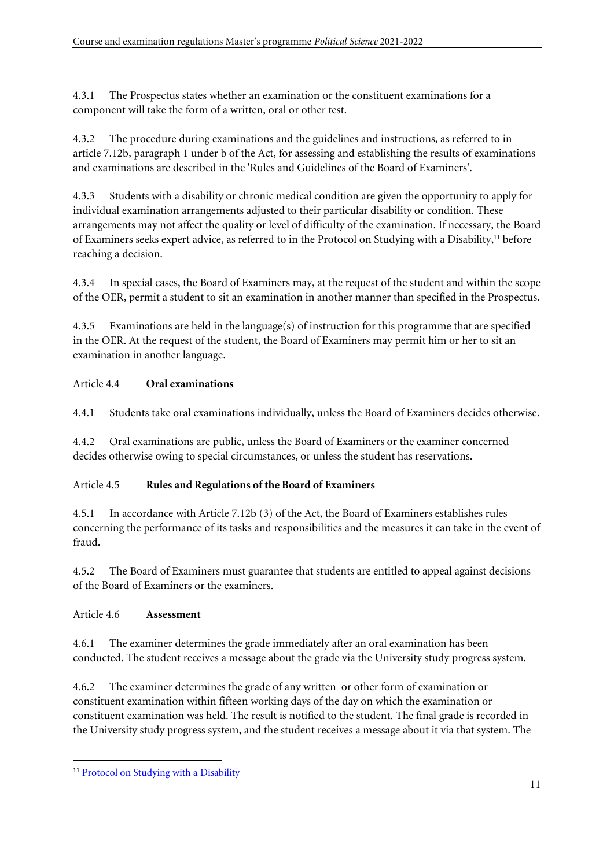4.3.1 The Prospectus states whether an examination or the constituent examinations for a component will take the form of a written, oral or other test.

4.3.2 The procedure during examinations and the guidelines and instructions, as referred to in article 7.12b, paragraph 1 under b of the Act, for assessing and establishing the results of examinations and examinations are described in the 'Rules and Guidelines of the Board of Examiners'.

4.3.3 Students with a disability or chronic medical condition are given the opportunity to apply for individual examination arrangements adjusted to their particular disability or condition. These arrangements may not affect the quality or level of difficulty of the examination. If necessary, the Board of Examiners seeks expert advice, as referred to in the Protocol on Studying with a Disability,<sup>11</sup> before reaching a decision.

4.3.4 In special cases, the Board of Examiners may, at the request of the student and within the scope of the OER, permit a student to sit an examination in another manner than specified in the Prospectus.

4.3.5 Examinations are held in the language(s) of instruction for this programme that are specified in the OER. At the request of the student, the Board of Examiners may permit him or her to sit an examination in another language.

### Article 4.4 **Oral examinations**

4.4.1 Students take oral examinations individually, unless the Board of Examiners decides otherwise.

4.4.2 Oral examinations are public, unless the Board of Examiners or the examiner concerned decides otherwise owing to special circumstances, or unless the student has reservations.

# Article 4.5 **Rules and Regulations of the Board of Examiners**

4.5.1 In accordance with Article 7.12b (3) of the Act, the Board of Examiners establishes rules concerning the performance of its tasks and responsibilities and the measures it can take in the event of fraud.

4.5.2 The Board of Examiners must guarantee that students are entitled to appeal against decisions of the Board of Examiners or the examiners.

# Article 4.6 **Assessment**

4.6.1 The examiner determines the grade immediately after an oral examination has been conducted. The student receives a message about the grade via the University study progress system.

4.6.2 The examiner determines the grade of any written or other form of examination or constituent examination within fifteen working days of the day on which the examination or constituent examination was held. The result is notified to the student. The final grade is recorded in the University study progress system, and the student receives a message about it via that system. The

<sup>&</sup>lt;sup>11</sup> Protocol on Studying with a [Disability](https://www.organisatiegids.universiteitleiden.nl/en/regulations/general/protocol-studying-with-a-disability)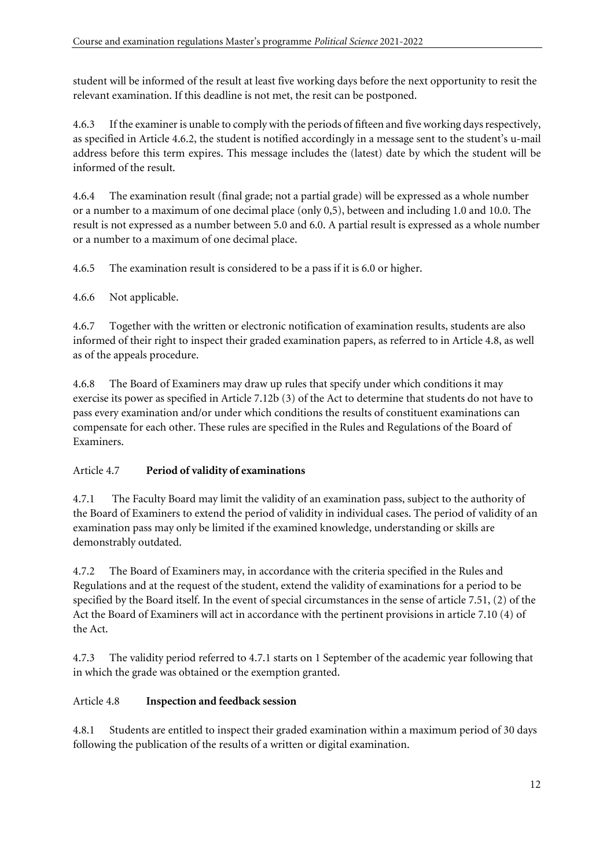student will be informed of the result at least five working days before the next opportunity to resit the relevant examination. If this deadline is not met, the resit can be postponed.

4.6.3 If the examiner is unable to comply with the periods of fifteen and five working days respectively, as specified in Article 4.6.2, the student is notified accordingly in a message sent to the student's u-mail address before this term expires. This message includes the (latest) date by which the student will be informed of the result.

4.6.4 The examination result (final grade; not a partial grade) will be expressed as a whole number or a number to a maximum of one decimal place (only 0,5), between and including 1.0 and 10.0. The result is not expressed as a number between 5.0 and 6.0. A partial result is expressed as a whole number or a number to a maximum of one decimal place.

4.6.5 The examination result is considered to be a pass if it is 6.0 or higher.

4.6.6 Not applicable.

4.6.7 Together with the written or electronic notification of examination results, students are also informed of their right to inspect their graded examination papers, as referred to in Article 4.8, as well as of the appeals procedure.

4.6.8 The Board of Examiners may draw up rules that specify under which conditions it may exercise its power as specified in Article 7.12b (3) of the Act to determine that students do not have to pass every examination and/or under which conditions the results of constituent examinations can compensate for each other. These rules are specified in the Rules and Regulations of the Board of Examiners.

# Article 4.7 **Period of validity of examinations**

4.7.1 The Faculty Board may limit the validity of an examination pass, subject to the authority of the Board of Examiners to extend the period of validity in individual cases. The period of validity of an examination pass may only be limited if the examined knowledge, understanding or skills are demonstrably outdated.

4.7.2 The Board of Examiners may, in accordance with the criteria specified in the Rules and Regulations and at the request of the student, extend the validity of examinations for a period to be specified by the Board itself. In the event of special circumstances in the sense of article 7.51, (2) of the Act the Board of Examiners will act in accordance with the pertinent provisions in article 7.10 (4) of the Act.

4.7.3 The validity period referred to 4.7.1 starts on 1 September of the academic year following that in which the grade was obtained or the exemption granted.

# Article 4.8 **Inspection and feedback session**

4.8.1 Students are entitled to inspect their graded examination within a maximum period of 30 days following the publication of the results of a written or digital examination.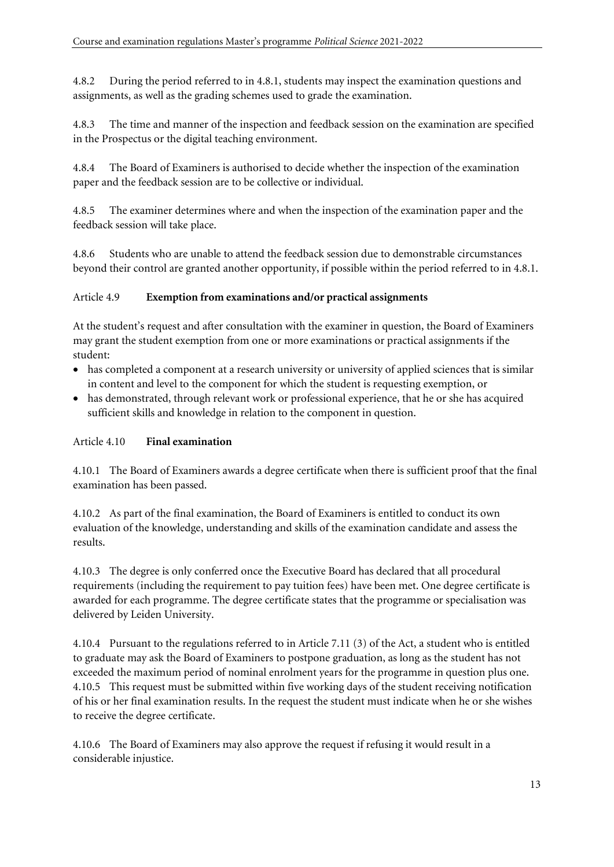4.8.2 During the period referred to in 4.8.1, students may inspect the examination questions and assignments, as well as the grading schemes used to grade the examination.

4.8.3 The time and manner of the inspection and feedback session on the examination are specified in the Prospectus or the digital teaching environment.

4.8.4 The Board of Examiners is authorised to decide whether the inspection of the examination paper and the feedback session are to be collective or individual.

4.8.5 The examiner determines where and when the inspection of the examination paper and the feedback session will take place.

4.8.6 Students who are unable to attend the feedback session due to demonstrable circumstances beyond their control are granted another opportunity, if possible within the period referred to in 4.8.1.

### Article 4.9 **Exemption from examinations and/or practical assignments**

At the student's request and after consultation with the examiner in question, the Board of Examiners may grant the student exemption from one or more examinations or practical assignments if the student:

- has completed a component at a research university or university of applied sciences that is similar in content and level to the component for which the student is requesting exemption, or
- has demonstrated, through relevant work or professional experience, that he or she has acquired sufficient skills and knowledge in relation to the component in question.

#### Article 4.10 **Final examination**

4.10.1 The Board of Examiners awards a degree certificate when there is sufficient proof that the final examination has been passed.

4.10.2 As part of the final examination, the Board of Examiners is entitled to conduct its own evaluation of the knowledge, understanding and skills of the examination candidate and assess the results.

4.10.3 The degree is only conferred once the Executive Board has declared that all procedural requirements (including the requirement to pay tuition fees) have been met. One degree certificate is awarded for each programme. The degree certificate states that the programme or specialisation was delivered by Leiden University.

4.10.4 Pursuant to the regulations referred to in Article 7.11 (3) of the Act, a student who is entitled to graduate may ask the Board of Examiners to postpone graduation, as long as the student has not exceeded the maximum period of nominal enrolment years for the programme in question plus one. 4.10.5 This request must be submitted within five working days of the student receiving notification of his or her final examination results. In the request the student must indicate when he or she wishes to receive the degree certificate.

4.10.6 The Board of Examiners may also approve the request if refusing it would result in a considerable injustice.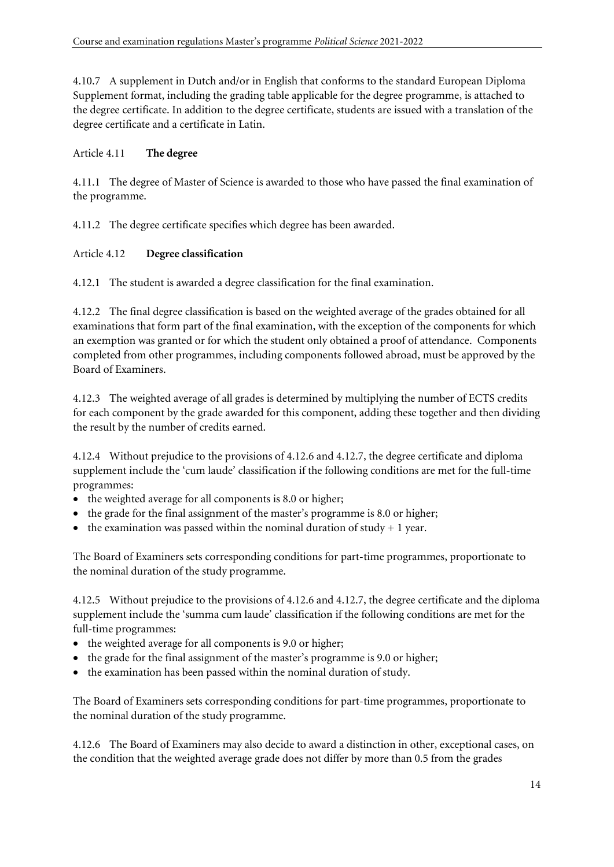4.10.7 A supplement in Dutch and/or in English that conforms to the standard European Diploma Supplement format, including the grading table applicable for the degree programme, is attached to the degree certificate. In addition to the degree certificate, students are issued with a translation of the degree certificate and a certificate in Latin.

### Article 4.11 **The degree**

4.11.1 The degree of Master of Science is awarded to those who have passed the final examination of the programme.

4.11.2 The degree certificate specifies which degree has been awarded.

### Article 4.12 **Degree classification**

4.12.1 The student is awarded a degree classification for the final examination.

4.12.2 The final degree classification is based on the weighted average of the grades obtained for all examinations that form part of the final examination, with the exception of the components for which an exemption was granted or for which the student only obtained a proof of attendance. Components completed from other programmes, including components followed abroad, must be approved by the Board of Examiners.

4.12.3 The weighted average of all grades is determined by multiplying the number of ECTS credits for each component by the grade awarded for this component, adding these together and then dividing the result by the number of credits earned.

4.12.4 Without prejudice to the provisions of 4.12.6 and 4.12.7, the degree certificate and diploma supplement include the 'cum laude' classification if the following conditions are met for the full-time programmes:

- the weighted average for all components is 8.0 or higher;
- the grade for the final assignment of the master's programme is 8.0 or higher;
- the examination was passed within the nominal duration of study  $+1$  year.

The Board of Examiners sets corresponding conditions for part-time programmes, proportionate to the nominal duration of the study programme.

4.12.5 Without prejudice to the provisions of 4.12.6 and 4.12.7, the degree certificate and the diploma supplement include the 'summa cum laude' classification if the following conditions are met for the full-time programmes:

- the weighted average for all components is 9.0 or higher;
- the grade for the final assignment of the master's programme is 9.0 or higher;
- the examination has been passed within the nominal duration of study.

The Board of Examiners sets corresponding conditions for part-time programmes, proportionate to the nominal duration of the study programme.

4.12.6 The Board of Examiners may also decide to award a distinction in other, exceptional cases, on the condition that the weighted average grade does not differ by more than 0.5 from the grades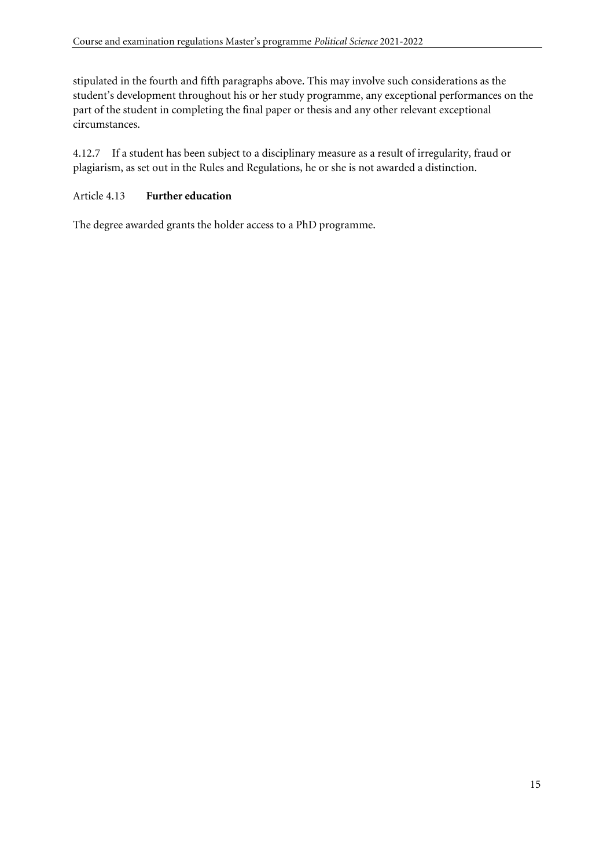stipulated in the fourth and fifth paragraphs above. This may involve such considerations as the student's development throughout his or her study programme, any exceptional performances on the part of the student in completing the final paper or thesis and any other relevant exceptional circumstances.

4.12.7 If a student has been subject to a disciplinary measure as a result of irregularity, fraud or plagiarism, as set out in the Rules and Regulations, he or she is not awarded a distinction.

#### Article 4.13 **Further education**

The degree awarded grants the holder access to a PhD programme.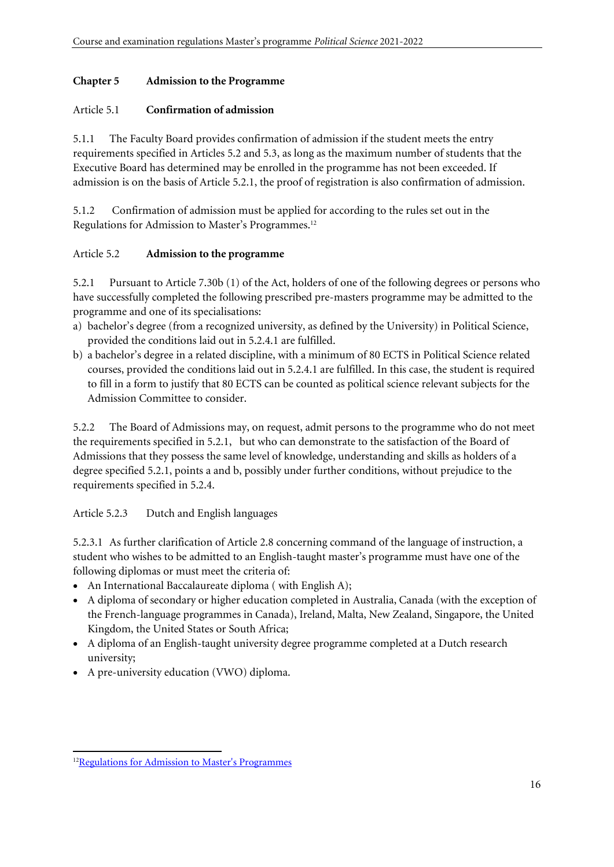#### **Chapter 5 Admission to the Programme**

#### Article 5.1 **Confirmation of admission**

5.1.1 The Faculty Board provides confirmation of admission if the student meets the entry requirements specified in Articles 5.2 and 5.3, as long as the maximum number of students that the Executive Board has determined may be enrolled in the programme has not been exceeded. If admission is on the basis of Article 5.2.1, the proof of registration is also confirmation of admission.

5.1.2 Confirmation of admission must be applied for according to the rules set out in the Regulations for Admission to Master's Programmes.<sup>12</sup>

### Article 5.2 **Admission to the programme**

5.2.1 Pursuant to Article 7.30b (1) of the Act, holders of one of the following degrees or persons who have successfully completed the following prescribed pre-masters programme may be admitted to the programme and one of its specialisations:

- a) bachelor's degree (from a recognized university, as defined by the University) in Political Science, provided the conditions laid out in 5.2.4.1 are fulfilled.
- b) a bachelor's degree in a related discipline, with a minimum of 80 ECTS in Political Science related courses, provided the conditions laid out in 5.2.4.1 are fulfilled. In this case, the student is required to fill in a form to justify that 80 ECTS can be counted as political science relevant subjects for the Admission Committee to consider.

5.2.2 The Board of Admissions may, on request, admit persons to the programme who do not meet the requirements specified in 5.2.1, but who can demonstrate to the satisfaction of the Board of Admissions that they possess the same level of knowledge, understanding and skills as holders of a degree specified 5.2.1, points a and b, possibly under further conditions, without prejudice to the requirements specified in 5.2.4.

Article 5.2.3 Dutch and English languages

5.2.3.1 As further clarification of Article 2.8 concerning command of the language of instruction, a student who wishes to be admitted to an English-taught master's programme must have one of the following diplomas or must meet the criteria of:

- An [International Baccalaureate](http://www.ibo.org/en/programmes/diploma-programme) diploma (with English A);
- A diploma of secondary or higher education completed in Australia, Canada (with the exception of the French-language programmes in Canada), Ireland, Malta, New Zealand, Singapore, the United Kingdom, the United States or South Africa;
- A diploma of an English-taught university degree programme completed at a Dutch research university;
- A pre-university education (VWO) diploma.

<sup>&</sup>lt;sup>12</sup>Regulations for Admission to Master's [Programmes](https://www.organisatiegids.universiteitleiden.nl/en/regulations/general/regulations-for-admission-to-master-programmes)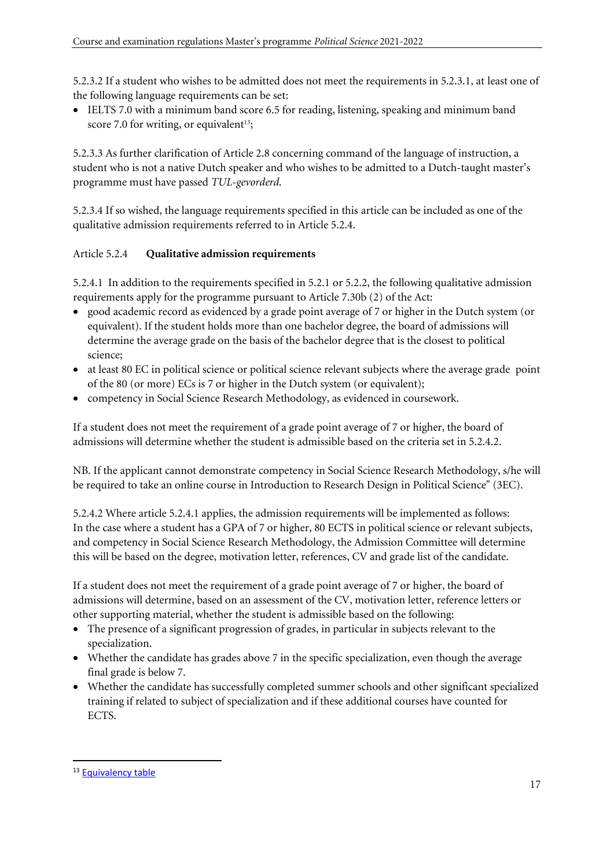5.2.3.2 If a student who wishes to be admitted does not meet the requirements in 5.2.3.1, at least one of the following language requirements can be set:

• IELTS 7.0 with a minimum band score 6.5 for reading, listening, speaking and minimum band score 7.0 for writing, or equivalent<sup>13</sup>;

5.2.3.3 As further clarification of Article 2.8 concerning command of the language of instruction, a student who is not a native Dutch speaker and who wishes to be admitted to a Dutch-taught master's programme must have passed *TUL-gevorderd*.

5.2.3.4 If so wished, the language requirements specified in this article can be included as one of the qualitative admission requirements referred to in Article 5.2.4.

### Article 5.2.4 **Qualitative admission requirements**

5.2.4.1 In addition to the requirements specified in 5.2.1 or 5.2.2, the following qualitative admission requirements apply for the programme pursuant to Article 7.30b (2) of the Act:

- good academic record as evidenced by a grade point average of 7 or higher in the Dutch system (or equivalent). If the student holds more than one bachelor degree, the board of admissions will determine the average grade on the basis of the bachelor degree that is the closest to political science;
- at least 80 EC in political science or political science relevant subjects where the average grade point of the 80 (or more) ECs is 7 or higher in the Dutch system (or equivalent);
- competency in Social Science Research Methodology, as evidenced in coursework.

If a student does not meet the requirement of a grade point average of 7 or higher, the board of admissions will determine whether the student is admissible based on the criteria set in 5.2.4.2.

NB. If the applicant cannot demonstrate competency in Social Science Research Methodology, s/he will be required to take an online course in Introduction to Research Design in Political Science" (3EC).

5.2.4.2 Where article 5.2.4.1 applies, the admission requirements will be implemented as follows: In the case where a student has a GPA of 7 or higher, 80 ECTS in political science or relevant subjects, and competency in Social Science Research Methodology, the Admission Committee will determine this will be based on the degree, motivation letter, references, CV and grade list of the candidate.

If a student does not meet the requirement of a grade point average of 7 or higher, the board of admissions will determine, based on an assessment of the CV, motivation letter, reference letters or other supporting material, whether the student is admissible based on the following:

- The presence of a significant progression of grades, in particular in subjects relevant to the specialization.
- Whether the candidate has grades above 7 in the specific specialization, even though the average final grade is below 7.
- Whether the candidate has successfully completed summer schools and other significant specialized training if related to subject of specialization and if these additional courses have counted for ECTS.

<sup>13</sup> [Equivalency table](https://www.universiteitleiden.nl/binaries/content/assets/studentenwerving/scm/admission-and-application/language-requirements/english_proficiency_masters_programmmes_eng.pdf)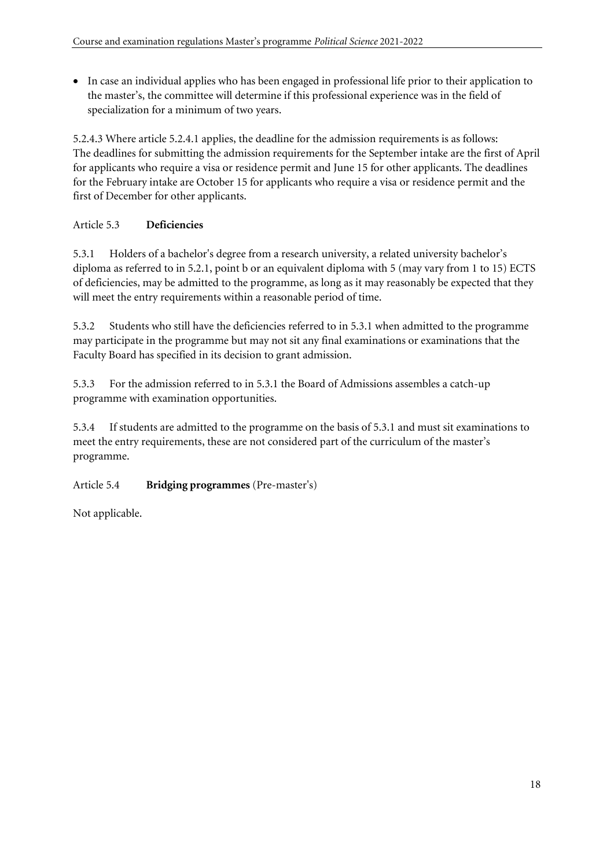• In case an individual applies who has been engaged in professional life prior to their application to the master's, the committee will determine if this professional experience was in the field of specialization for a minimum of two years.

5.2.4.3 Where article 5.2.4.1 applies, the deadline for the admission requirements is as follows: The deadlines for submitting the admission requirements for the September intake are the first of April for applicants who require a visa or residence permit and June 15 for other applicants. The deadlines for the February intake are October 15 for applicants who require a visa or residence permit and the first of December for other applicants.

# Article 5.3 **Deficiencies**

5.3.1 Holders of a bachelor's degree from a research university, a related university bachelor's diploma as referred to in 5.2.1, point b or an equivalent diploma with 5 (may vary from 1 to 15) ECTS of deficiencies, may be admitted to the programme, as long as it may reasonably be expected that they will meet the entry requirements within a reasonable period of time.

5.3.2 Students who still have the deficiencies referred to in 5.3.1 when admitted to the programme may participate in the programme but may not sit any final examinations or examinations that the Faculty Board has specified in its decision to grant admission.

5.3.3 For the admission referred to in 5.3.1 the Board of Admissions assembles a catch-up programme with examination opportunities.

5.3.4 If students are admitted to the programme on the basis of 5.3.1 and must sit examinations to meet the entry requirements, these are not considered part of the curriculum of the master's programme.

# Article 5.4 **Bridging programmes** (Pre-master's)

Not applicable.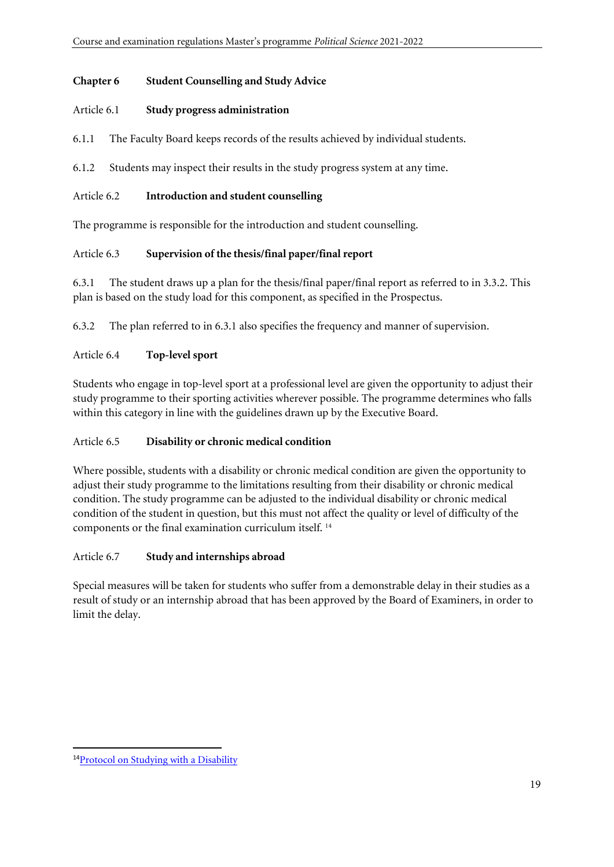#### **Chapter 6 Student Counselling and Study Advice**

#### Article 6.1 **Study progress administration**

6.1.1 The Faculty Board keeps records of the results achieved by individual students.

6.1.2 Students may inspect their results in the study progress system at any time.

### Article 6.2 **Introduction and student counselling**

The programme is responsible for the introduction and student counselling.

### Article 6.3 **Supervision of the thesis/final paper/final report**

6.3.1 The student draws up a plan for the thesis/final paper/final report as referred to in 3.3.2. This plan is based on the study load for this component, as specified in the Prospectus.

6.3.2 The plan referred to in 6.3.1 also specifies the frequency and manner of supervision.

### Article 6.4 **Top-level sport**

Students who engage in top-level sport at a professional level are given the opportunity to adjust their study programme to their sporting activities wherever possible. The programme determines who falls within this category in line with the guidelines drawn up by the Executive Board.

#### Article 6.5 **Disability or chronic medical condition**

Where possible, students with a disability or chronic medical condition are given the opportunity to adjust their study programme to the limitations resulting from their disability or chronic medical condition. The study programme can be adjusted to the individual disability or chronic medical condition of the student in question, but this must not affect the quality or level of difficulty of the components or the final examination curriculum itself. <sup>14</sup>

#### Article 6.7 **Study and internships abroad**

Special measures will be taken for students who suffer from a demonstrable delay in their studies as a result of study or an internship abroad that has been approved by the Board of Examiners, in order to limit the delay.

<sup>&</sup>lt;sup>14</sup>Protocol on Studying with a [Disability](https://www.organisatiegids.universiteitleiden.nl/en/regulations/general/protocol-studying-with-a-disability)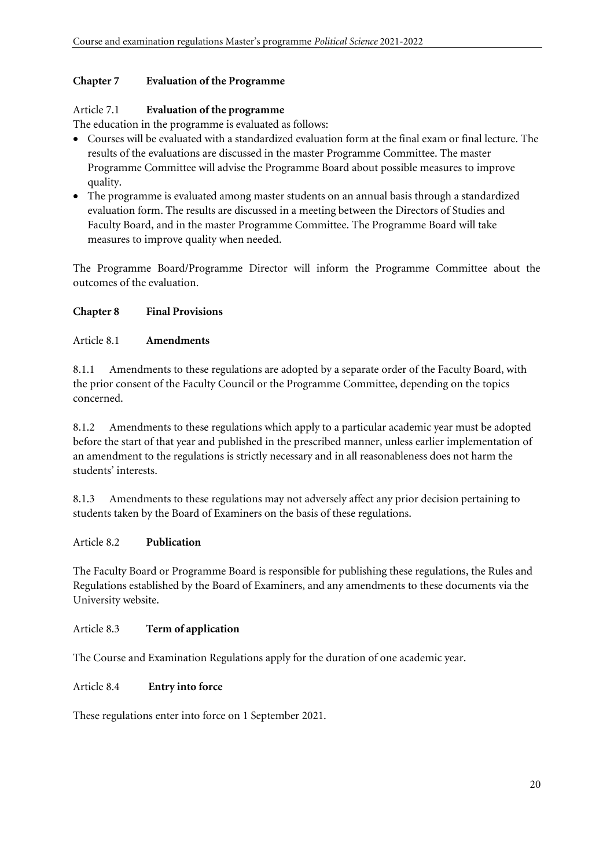#### **Chapter 7 Evaluation of the Programme**

### Article 7.1 **Evaluation of the programme**

The education in the programme is evaluated as follows:

- Courses will be evaluated with a standardized evaluation form at the final exam or final lecture. The results of the evaluations are discussed in the master Programme Committee. The master Programme Committee will advise the Programme Board about possible measures to improve quality.
- The programme is evaluated among master students on an annual basis through a standardized evaluation form. The results are discussed in a meeting between the Directors of Studies and Faculty Board, and in the master Programme Committee. The Programme Board will take measures to improve quality when needed.

The Programme Board/Programme Director will inform the Programme Committee about the outcomes of the evaluation.

### **Chapter 8 Final Provisions**

#### Article 8.1 **Amendments**

8.1.1 Amendments to these regulations are adopted by a separate order of the Faculty Board, with the prior consent of the Faculty Council or the Programme Committee, depending on the topics concerned.

8.1.2 Amendments to these regulations which apply to a particular academic year must be adopted before the start of that year and published in the prescribed manner, unless earlier implementation of an amendment to the regulations is strictly necessary and in all reasonableness does not harm the students' interests.

8.1.3 Amendments to these regulations may not adversely affect any prior decision pertaining to students taken by the Board of Examiners on the basis of these regulations.

#### Article 8.2 **Publication**

The Faculty Board or Programme Board is responsible for publishing these regulations, the Rules and Regulations established by the Board of Examiners, and any amendments to these documents via the University website.

#### Article 8.3 **Term of application**

The Course and Examination Regulations apply for the duration of one academic year.

#### Article 8.4 **Entry into force**

These regulations enter into force on 1 September 2021.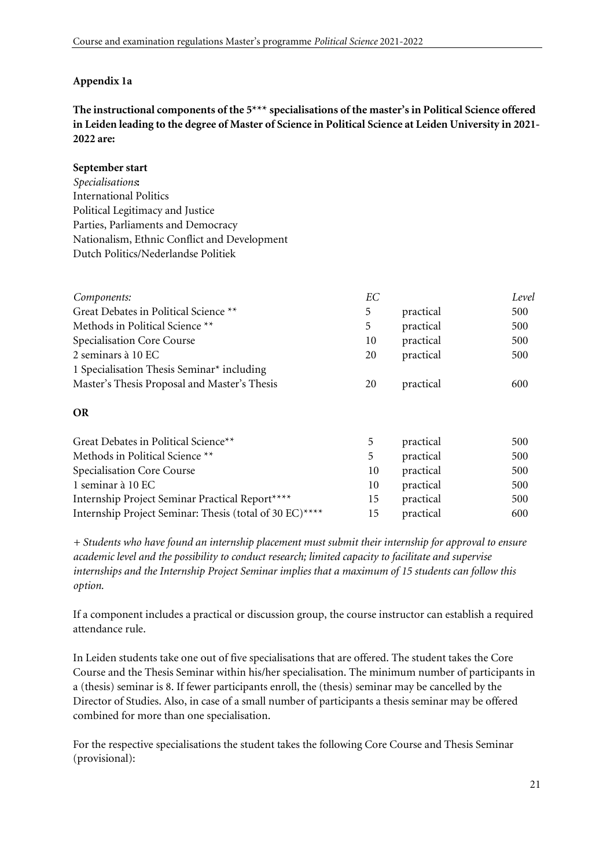### **Appendix 1a**

**The instructional components of the 5\*\*\* specialisations of the master's in Political Science offered in Leiden leading to the degree of Master of Science in Political Science at Leiden University in 2021- 2022 are:** 

#### **September start**

*Specialisations***:**  International Politics Political Legitimacy and Justice Parties, Parliaments and Democracy Nationalism, Ethnic Conflict and Development Dutch Politics/Nederlandse Politiek

| Components:                                  | EС |           | Level |
|----------------------------------------------|----|-----------|-------|
| Great Debates in Political Science **        | 5  | practical | 500   |
| Methods in Political Science **              | 5. | practical | 500   |
| Specialisation Core Course                   | 10 | practical | 500   |
| 2 seminars à 10 EC                           | 20 | practical | 500   |
| 1 Specialisation Thesis Seminar* including   |    |           |       |
| Master's Thesis Proposal and Master's Thesis | 20 | practical | 600   |
|                                              |    |           |       |

#### **OR**

| Great Debates in Political Science**                    | 5  | practical | 500 |
|---------------------------------------------------------|----|-----------|-----|
| Methods in Political Science **                         | 5  | practical | 500 |
| Specialisation Core Course                              | 10 | practical | 500 |
| 1 seminar à 10 EC                                       | 10 | practical | 500 |
| Internship Project Seminar Practical Report****         | 15 | practical | 500 |
| Internship Project Seminar: Thesis (total of 30 EC)**** | 15 | practical | 600 |
|                                                         |    |           |     |

*+ Students who have found an internship placement must submit their internship for approval to ensure academic level and the possibility to conduct research; limited capacity to facilitate and supervise internships and the Internship Project Seminar implies that a maximum of 15 students can follow this option.* 

If a component includes a practical or discussion group, the course instructor can establish a required attendance rule.

In Leiden students take one out of five specialisations that are offered. The student takes the Core Course and the Thesis Seminar within his/her specialisation. The minimum number of participants in a (thesis) seminar is 8. If fewer participants enroll, the (thesis) seminar may be cancelled by the Director of Studies. Also, in case of a small number of participants a thesis seminar may be offered combined for more than one specialisation.

For the respective specialisations the student takes the following Core Course and Thesis Seminar (provisional):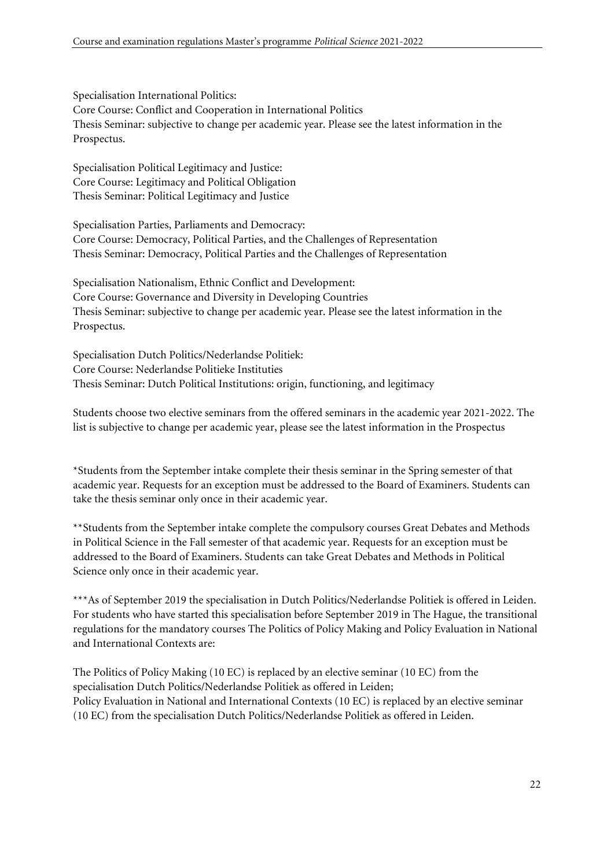Specialisation International Politics: Core Course: Conflict and Cooperation in International Politics Thesis Seminar: subjective to change per academic year. Please see the latest information in the Prospectus.

Specialisation Political Legitimacy and Justice: Core Course: Legitimacy and Political Obligation Thesis Seminar: Political Legitimacy and Justice

Specialisation Parties, Parliaments and Democracy: Core Course: Democracy, Political Parties, and the Challenges of Representation Thesis Seminar: Democracy, Political Parties and the Challenges of Representation

Specialisation Nationalism, Ethnic Conflict and Development: Core Course: Governance and Diversity in Developing Countries Thesis Seminar: subjective to change per academic year. Please see the latest information in the Prospectus.

Specialisation Dutch Politics/Nederlandse Politiek: Core Course: Nederlandse Politieke Instituties Thesis Seminar: Dutch Political Institutions: origin, functioning, and legitimacy

Students choose two elective seminars from the offered seminars in the academic year 2021-2022. The list is subjective to change per academic year, please see the latest information in the Prospectus

\*Students from the September intake complete their thesis seminar in the Spring semester of that academic year. Requests for an exception must be addressed to the Board of Examiners. Students can take the thesis seminar only once in their academic year.

\*\*Students from the September intake complete the compulsory courses Great Debates and Methods in Political Science in the Fall semester of that academic year. Requests for an exception must be addressed to the Board of Examiners. Students can take Great Debates and Methods in Political Science only once in their academic year.

\*\*\*As of September 2019 the specialisation in Dutch Politics/Nederlandse Politiek is offered in Leiden. For students who have started this specialisation before September 2019 in The Hague, the transitional regulations for the mandatory courses The Politics of Policy Making and Policy Evaluation in National and International Contexts are:

The Politics of Policy Making (10 EC) is replaced by an elective seminar (10 EC) from the specialisation Dutch Politics/Nederlandse Politiek as offered in Leiden; Policy Evaluation in National and International Contexts (10 EC) is replaced by an elective seminar (10 EC) from the specialisation Dutch Politics/Nederlandse Politiek as offered in Leiden.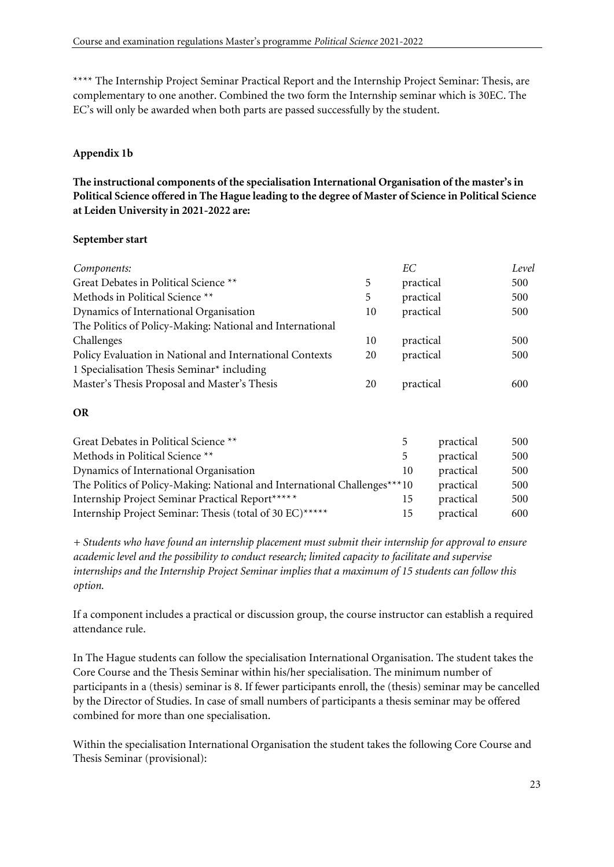\*\*\*\* The Internship Project Seminar Practical Report and the Internship Project Seminar: Thesis, are complementary to one another. Combined the two form the Internship seminar which is 30EC. The EC's will only be awarded when both parts are passed successfully by the student.

# **Appendix 1b**

**The instructional components of the specialisation International Organisation of the master's in Political Science offered in The Hague leading to the degree of Master of Science in Political Science at Leiden University in 2021-2022 are:** 

#### **September start**

| Components:                                               |    | EС        | Level |
|-----------------------------------------------------------|----|-----------|-------|
| Great Debates in Political Science **                     | 5  | practical | 500   |
| Methods in Political Science **                           | 5  | practical | 500   |
| Dynamics of International Organisation                    | 10 | practical | 500   |
| The Politics of Policy-Making: National and International |    |           |       |
| Challenges                                                | 10 | practical | 500   |
| Policy Evaluation in National and International Contexts  | 20 | practical | 500   |
| 1 Specialisation Thesis Seminar <sup>*</sup> including    |    |           |       |
| Master's Thesis Proposal and Master's Thesis              | 20 | practical | 600   |

#### **OR**

| Great Debates in Political Science **                                     | $\mathcal{D}$ | practical | 500 |
|---------------------------------------------------------------------------|---------------|-----------|-----|
| Methods in Political Science **                                           | 5             | practical | 500 |
| Dynamics of International Organisation                                    | 10            | practical | 500 |
| The Politics of Policy-Making: National and International Challenges***10 |               | practical | 500 |
| Internship Project Seminar Practical Report*****                          | 15            | practical | 500 |
| Internship Project Seminar: Thesis (total of 30 EC)*****                  | 15            | practical | 600 |

*+ Students who have found an internship placement must submit their internship for approval to ensure academic level and the possibility to conduct research; limited capacity to facilitate and supervise internships and the Internship Project Seminar implies that a maximum of 15 students can follow this option.* 

If a component includes a practical or discussion group, the course instructor can establish a required attendance rule.

In The Hague students can follow the specialisation International Organisation. The student takes the Core Course and the Thesis Seminar within his/her specialisation. The minimum number of participants in a (thesis) seminar is 8. If fewer participants enroll, the (thesis) seminar may be cancelled by the Director of Studies. In case of small numbers of participants a thesis seminar may be offered combined for more than one specialisation.

Within the specialisation International Organisation the student takes the following Core Course and Thesis Seminar (provisional):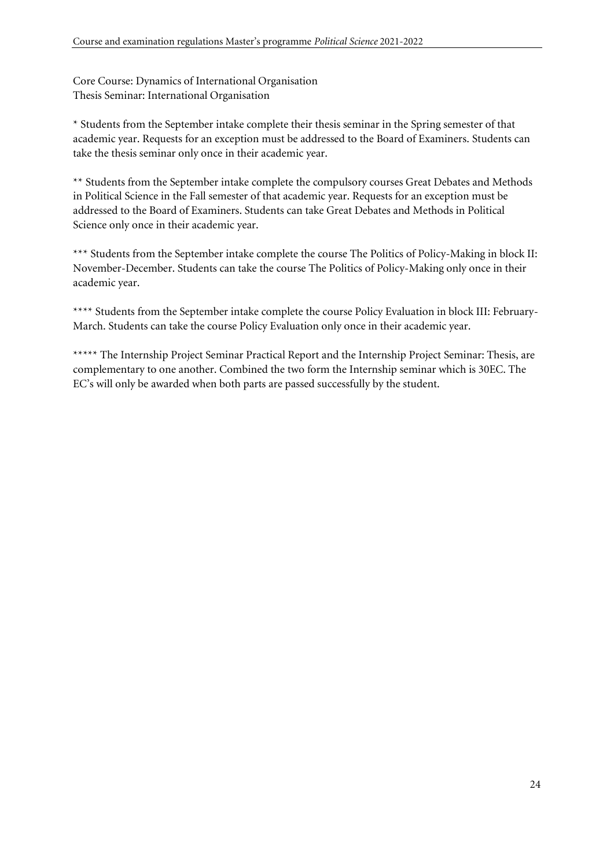Core Course: Dynamics of International Organisation Thesis Seminar: International Organisation

\* Students from the September intake complete their thesis seminar in the Spring semester of that academic year. Requests for an exception must be addressed to the Board of Examiners. Students can take the thesis seminar only once in their academic year.

\*\* Students from the September intake complete the compulsory courses Great Debates and Methods in Political Science in the Fall semester of that academic year. Requests for an exception must be addressed to the Board of Examiners. Students can take Great Debates and Methods in Political Science only once in their academic year.

\*\*\* Students from the September intake complete the course The Politics of Policy-Making in block II: November-December. Students can take the course The Politics of Policy-Making only once in their academic year.

\*\*\*\* Students from the September intake complete the course Policy Evaluation in block III: February-March. Students can take the course Policy Evaluation only once in their academic year.

\*\*\*\*\* The Internship Project Seminar Practical Report and the Internship Project Seminar: Thesis, are complementary to one another. Combined the two form the Internship seminar which is 30EC. The EC's will only be awarded when both parts are passed successfully by the student.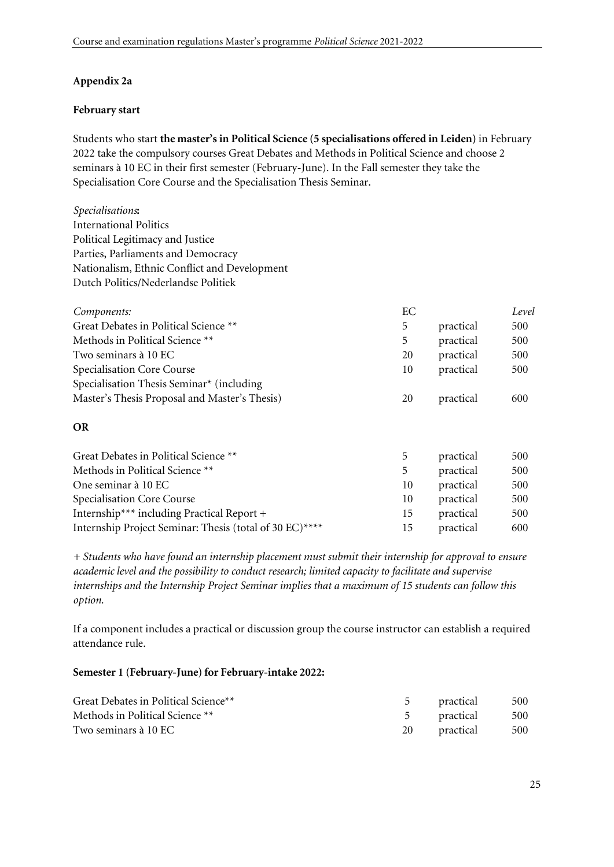### **Appendix 2a**

#### **February start**

Students who start **the master's in Political Science (5 specialisations offered in Leiden)** in February 2022 take the compulsory courses Great Debates and Methods in Political Science and choose 2 seminars à 10 EC in their first semester (February-June). In the Fall semester they take the Specialisation Core Course and the Specialisation Thesis Seminar.

*Specialisations***:**  International Politics Political Legitimacy and Justice Parties, Parliaments and Democracy Nationalism, Ethnic Conflict and Development Dutch Politics/Nederlandse Politiek

| Components:                                   | EС |           | Level |
|-----------------------------------------------|----|-----------|-------|
| Great Debates in Political Science **         | 5  | practical | 500   |
| Methods in Political Science **               | 5  | practical | 500   |
| Two seminars à 10 EC                          | 20 | practical | 500   |
| Specialisation Core Course                    | 10 | practical | 500   |
| Specialisation Thesis Seminar* (including     |    |           |       |
| Master's Thesis Proposal and Master's Thesis) | 20 | practical | 600   |

#### **OR**

| Great Debates in Political Science **                   | $\mathcal{D}$ | practical | 500 |
|---------------------------------------------------------|---------------|-----------|-----|
| Methods in Political Science **                         | 5             | practical | 500 |
| One seminar à 10 EC                                     | 10            | practical | 500 |
| Specialisation Core Course                              | 10            | practical | 500 |
| Internship*** including Practical Report +              | 15            | practical | 500 |
| Internship Project Seminar: Thesis (total of 30 EC)**** | 15            | practical | 600 |

*+ Students who have found an internship placement must submit their internship for approval to ensure academic level and the possibility to conduct research; limited capacity to facilitate and supervise internships and the Internship Project Seminar implies that a maximum of 15 students can follow this option.* 

If a component includes a practical or discussion group the course instructor can establish a required attendance rule.

#### **Semester 1 (February-June) for February-intake 2022:**

| Great Debates in Political Science <sup>**</sup> | 5 practical      | 500 |
|--------------------------------------------------|------------------|-----|
| Methods in Political Science **                  | 5 practical 500  |     |
| Two seminars à 10 EC                             | 20 practical 500 |     |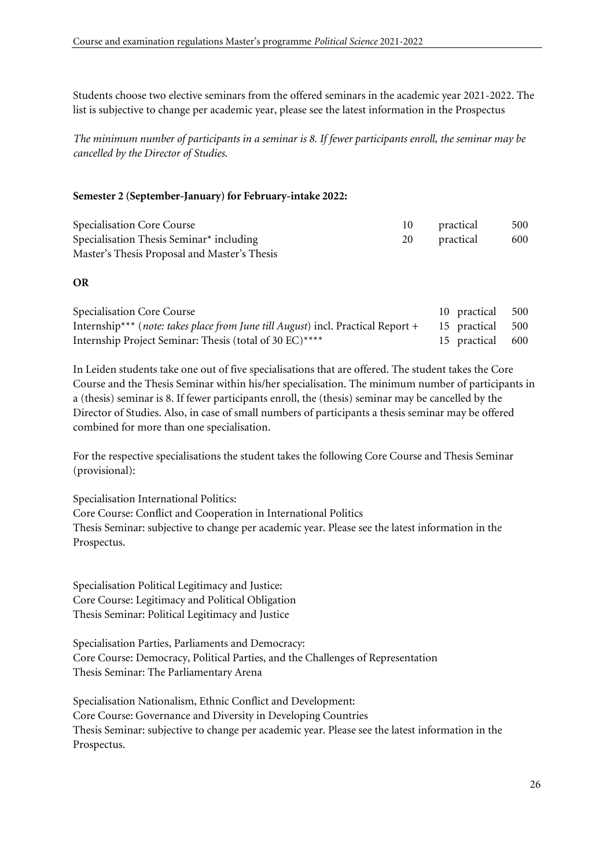Students choose two elective seminars from the offered seminars in the academic year 2021-2022. The list is subjective to change per academic year, please see the latest information in the Prospectus

*The minimum number of participants in a seminar is 8. If fewer participants enroll, the seminar may be cancelled by the Director of Studies.*

#### **Semester 2 (September-January) for February-intake 2022:**

| Specialisation Core Course                           | 10 practical | - 500 |
|------------------------------------------------------|--------------|-------|
| Specialisation Thesis Seminar <sup>*</sup> including | 20 practical | 600   |
| Master's Thesis Proposal and Master's Thesis         |              |       |

#### **OR**

| Specialisation Core Course                                                                                   | 10 practical 500 |  |
|--------------------------------------------------------------------------------------------------------------|------------------|--|
| Internship*** ( <i>note: takes place from June till August</i> ) incl. Practical Report $+$ 15 practical 500 |                  |  |
| Internship Project Seminar: Thesis (total of 30 EC)****                                                      | 15 practical 600 |  |

In Leiden students take one out of five specialisations that are offered. The student takes the Core Course and the Thesis Seminar within his/her specialisation. The minimum number of participants in a (thesis) seminar is 8. If fewer participants enroll, the (thesis) seminar may be cancelled by the Director of Studies. Also, in case of small numbers of participants a thesis seminar may be offered combined for more than one specialisation.

For the respective specialisations the student takes the following Core Course and Thesis Seminar (provisional):

Specialisation International Politics: Core Course: Conflict and Cooperation in International Politics Thesis Seminar: subjective to change per academic year. Please see the latest information in the Prospectus.

Specialisation Political Legitimacy and Justice: Core Course: Legitimacy and Political Obligation Thesis Seminar: Political Legitimacy and Justice

Specialisation Parties, Parliaments and Democracy: Core Course: Democracy, Political Parties, and the Challenges of Representation Thesis Seminar: The Parliamentary Arena

Specialisation Nationalism, Ethnic Conflict and Development: Core Course: Governance and Diversity in Developing Countries Thesis Seminar: subjective to change per academic year. Please see the latest information in the Prospectus.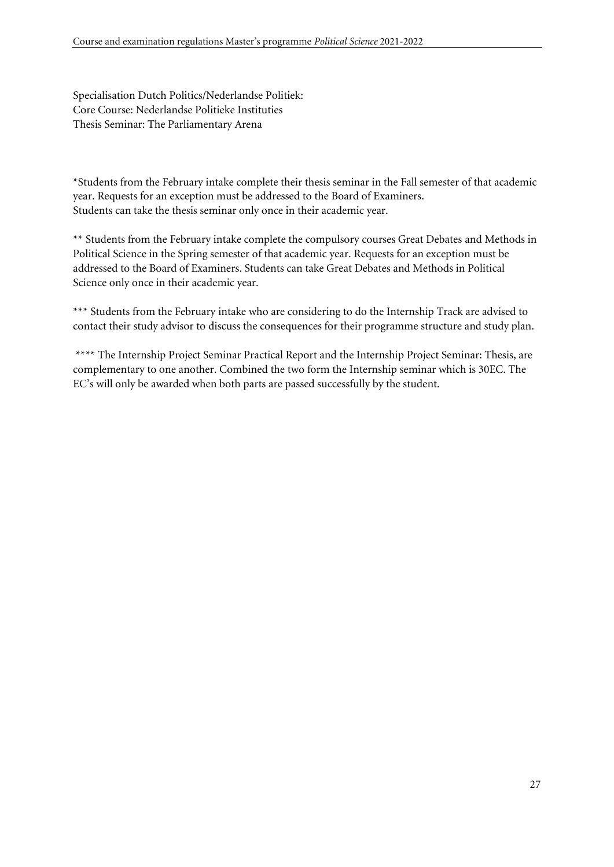Specialisation Dutch Politics/Nederlandse Politiek: Core Course: Nederlandse Politieke Instituties Thesis Seminar: The Parliamentary Arena

\*Students from the February intake complete their thesis seminar in the Fall semester of that academic year. Requests for an exception must be addressed to the Board of Examiners. Students can take the thesis seminar only once in their academic year.

\*\* Students from the February intake complete the compulsory courses Great Debates and Methods in Political Science in the Spring semester of that academic year. Requests for an exception must be addressed to the Board of Examiners. Students can take Great Debates and Methods in Political Science only once in their academic year.

\*\*\* Students from the February intake who are considering to do the Internship Track are advised to contact their study advisor to discuss the consequences for their programme structure and study plan.

\*\*\*\* The Internship Project Seminar Practical Report and the Internship Project Seminar: Thesis, are complementary to one another. Combined the two form the Internship seminar which is 30EC. The EC's will only be awarded when both parts are passed successfully by the student.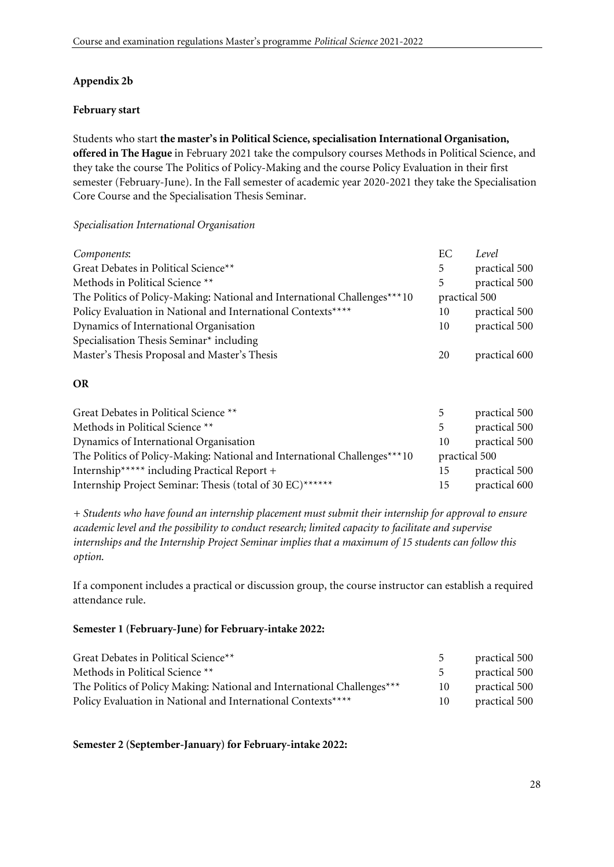### **Appendix 2b**

#### **February start**

Students who start **the master's in Political Science, specialisation International Organisation, offered in The Hague** in February 2021 take the compulsory courses Methods in Political Science, and they take the course The Politics of Policy-Making and the course Policy Evaluation in their first semester (February-June). In the Fall semester of academic year 2020-2021 they take the Specialisation Core Course and the Specialisation Thesis Seminar.

#### *Specialisation International Organisation*

| Components:                                                               | ЕC            | Level         |
|---------------------------------------------------------------------------|---------------|---------------|
| Great Debates in Political Science**                                      | 5             | practical 500 |
| Methods in Political Science **                                           | 5             | practical 500 |
| The Politics of Policy-Making: National and International Challenges***10 | practical 500 |               |
| Policy Evaluation in National and International Contexts****              | 10            | practical 500 |
| Dynamics of International Organisation                                    | 10            | practical 500 |
| Specialisation Thesis Seminar* including                                  |               |               |
| Master's Thesis Proposal and Master's Thesis                              | 20            | practical 600 |
| <b>OR</b>                                                                 |               |               |
| Great Debates in Political Science **                                     | 5             | practical 500 |

| Great Debates in Political Science T                                      |               | practical 500 |
|---------------------------------------------------------------------------|---------------|---------------|
| Methods in Political Science **                                           |               | practical 500 |
| Dynamics of International Organisation                                    | 10            | practical 500 |
| The Politics of Policy-Making: National and International Challenges***10 | practical 500 |               |
| Internship****** including Practical Report +                             | 15            | practical 500 |
| Internship Project Seminar: Thesis (total of 30 EC)******                 | 15            | practical 600 |

*+ Students who have found an internship placement must submit their internship for approval to ensure academic level and the possibility to conduct research; limited capacity to facilitate and supervise internships and the Internship Project Seminar implies that a maximum of 15 students can follow this option.* 

If a component includes a practical or discussion group, the course instructor can establish a required attendance rule.

#### **Semester 1 (February-June) for February-intake 2022:**

| Great Debates in Political Science**                                    |    | practical 500 |
|-------------------------------------------------------------------------|----|---------------|
| Methods in Political Science **                                         |    | practical 500 |
| The Politics of Policy Making: National and International Challenges*** | 10 | practical 500 |
| Policy Evaluation in National and International Contexts****            | 10 | practical 500 |

#### **Semester 2 (September-January) for February-intake 2022:**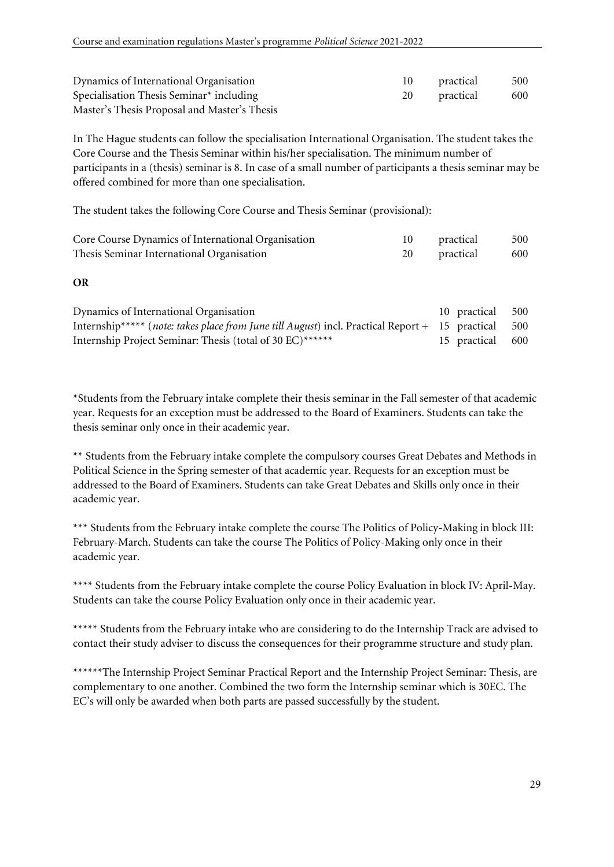| Dynamics of International Organisation       | 10 practical | 500  |
|----------------------------------------------|--------------|------|
| Specialisation Thesis Seminar $*$ including  | 20 practical | -600 |
| Master's Thesis Proposal and Master's Thesis |              |      |

In The Hague students can follow the specialisation International Organisation. The student takes the Core Course and the Thesis Seminar within his/her specialisation. The minimum number of participants in a (thesis) seminar is 8. In case of a small number of participants a thesis seminar may be offered combined for more than one specialisation.

The student takes the following Core Course and Thesis Seminar (provisional):

| Core Course Dynamics of International Organisation | 10 practical | 500 |
|----------------------------------------------------|--------------|-----|
| Thesis Seminar International Organisation          | 20 practical | 600 |

#### **OR**

| Dynamics of International Organisation                                                                     | 10 practical     | 500 |
|------------------------------------------------------------------------------------------------------------|------------------|-----|
| Internship***** ( <i>note: takes place from June till August</i> ) incl. Practical Report $+$ 15 practical |                  | 500 |
| Internship Project Seminar: Thesis (total of 30 EC)******                                                  | 15 practical 600 |     |

\*Students from the February intake complete their thesis seminar in the Fall semester of that academic year. Requests for an exception must be addressed to the Board of Examiners. Students can take the thesis seminar only once in their academic year.

\*\* Students from the February intake complete the compulsory courses Great Debates and Methods in Political Science in the Spring semester of that academic year. Requests for an exception must be addressed to the Board of Examiners. Students can take Great Debates and Skills only once in their academic year.

\*\*\* Students from the February intake complete the course The Politics of Policy-Making in block III: February-March. Students can take the course The Politics of Policy-Making only once in their academic year.

\*\*\*\* Students from the February intake complete the course Policy Evaluation in block IV: April-May. Students can take the course Policy Evaluation only once in their academic year.

\*\*\*\*\* Students from the February intake who are considering to do the Internship Track are advised to contact their study adviser to discuss the consequences for their programme structure and study plan.

\*\*\*\*\*\*The Internship Project Seminar Practical Report and the Internship Project Seminar: Thesis, are complementary to one another. Combined the two form the Internship seminar which is 30EC. The EC's will only be awarded when both parts are passed successfully by the student.